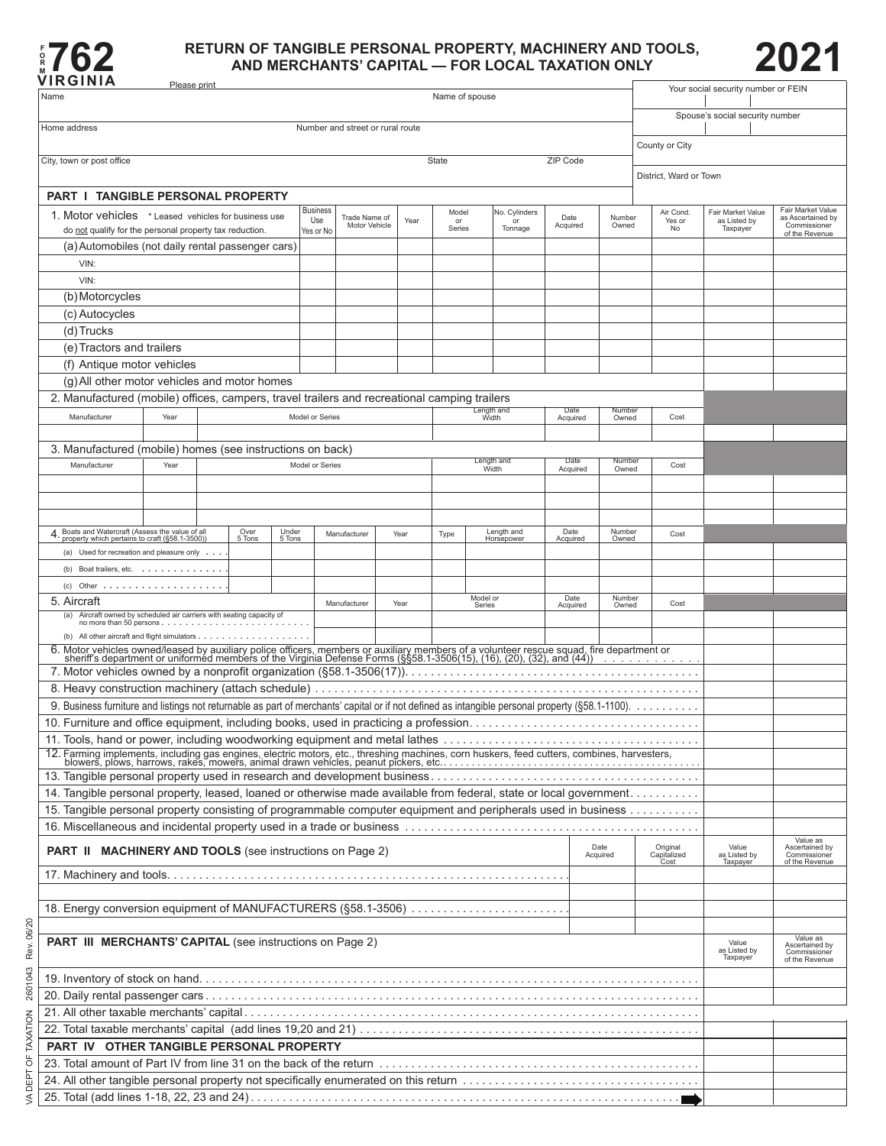

## **RETURN OF TANGIBLE PERSONAL PROPERTY, MACHINERY AND TOOLS, 2021<br>WIRGINIA AND MERCHANTS' CAPITAL — FOR LOCAL TAXATION ONLY**



∙

Please print

| Name                                                                                                                                                                                                                           | <b>Fiedse print</b> |  |                |                 |                 |                                  |  |      | Name of spouse                    |                                                              |                          |                  |                           |                         |  |                                 | Your social security number or FEIN           |                                            |
|--------------------------------------------------------------------------------------------------------------------------------------------------------------------------------------------------------------------------------|---------------------|--|----------------|-----------------|-----------------|----------------------------------|--|------|-----------------------------------|--------------------------------------------------------------|--------------------------|------------------|---------------------------|-------------------------|--|---------------------------------|-----------------------------------------------|--------------------------------------------|
|                                                                                                                                                                                                                                |                     |  |                |                 |                 |                                  |  |      |                                   |                                                              |                          |                  |                           |                         |  |                                 | Spouse's social security number               |                                            |
| Home address                                                                                                                                                                                                                   |                     |  |                |                 |                 | Number and street or rural route |  |      |                                   |                                                              |                          |                  |                           |                         |  |                                 |                                               |                                            |
| County or City                                                                                                                                                                                                                 |                     |  |                |                 |                 |                                  |  |      |                                   |                                                              |                          |                  |                           |                         |  |                                 |                                               |                                            |
| City, town or post office                                                                                                                                                                                                      | State<br>ZIP Code   |  |                |                 |                 |                                  |  |      |                                   |                                                              |                          |                  |                           |                         |  |                                 |                                               |                                            |
|                                                                                                                                                                                                                                |                     |  |                |                 |                 |                                  |  |      |                                   |                                                              |                          |                  |                           |                         |  | District, Ward or Town          |                                               |                                            |
| <b>PART I TANGIBLE PERSONAL PROPERTY</b>                                                                                                                                                                                       |                     |  |                |                 | <b>Business</b> |                                  |  |      |                                   |                                                              |                          |                  |                           |                         |  |                                 |                                               | Fair Market Value                          |
| 1. Motor vehicles * Leased vehicles for business use                                                                                                                                                                           |                     |  |                |                 | Use             | Trade Name of<br>Motor Vehicle   |  | Year | Model<br>or<br>Series             |                                                              | No. Cylinders<br>Tonnage | Date<br>Acquired |                           | Number<br>Owned         |  | Air Cond.<br>Yes or<br>No       | Fair Market Value<br>as Listed by<br>Taxpayer | as Ascertained by<br>Commissioner          |
| do not qualify for the personal property tax reduction.<br>(a) Automobiles (not daily rental passenger cars)                                                                                                                   |                     |  |                |                 | Yes or No       |                                  |  |      |                                   |                                                              |                          |                  |                           |                         |  |                                 |                                               | of the Revenue                             |
| VIN:                                                                                                                                                                                                                           |                     |  |                |                 |                 |                                  |  |      |                                   |                                                              |                          |                  |                           |                         |  |                                 |                                               |                                            |
| VIN:                                                                                                                                                                                                                           |                     |  |                |                 |                 |                                  |  |      |                                   |                                                              |                          |                  |                           |                         |  |                                 |                                               |                                            |
| (b) Motorcycles                                                                                                                                                                                                                |                     |  |                |                 |                 |                                  |  |      |                                   |                                                              |                          |                  |                           |                         |  |                                 |                                               |                                            |
| (c) Autocycles                                                                                                                                                                                                                 |                     |  |                |                 |                 |                                  |  |      |                                   |                                                              |                          |                  |                           |                         |  |                                 |                                               |                                            |
| (d) Trucks                                                                                                                                                                                                                     |                     |  |                |                 |                 |                                  |  |      |                                   |                                                              |                          |                  |                           |                         |  |                                 |                                               |                                            |
| (e) Tractors and trailers                                                                                                                                                                                                      |                     |  |                |                 |                 |                                  |  |      |                                   |                                                              |                          |                  |                           |                         |  |                                 |                                               |                                            |
| (f) Antique motor vehicles                                                                                                                                                                                                     |                     |  |                |                 |                 |                                  |  |      |                                   |                                                              |                          |                  |                           |                         |  |                                 |                                               |                                            |
| (g) All other motor vehicles and motor homes                                                                                                                                                                                   |                     |  |                |                 |                 |                                  |  |      |                                   |                                                              |                          |                  |                           |                         |  |                                 |                                               |                                            |
| 2. Manufactured (mobile) offices, campers, travel trailers and recreational camping trailers                                                                                                                                   |                     |  |                |                 |                 |                                  |  |      |                                   |                                                              | Date                     |                  |                           | Number                  |  |                                 |                                               |                                            |
| Manufacturer                                                                                                                                                                                                                   | Year                |  |                |                 | Model or Series |                                  |  |      |                                   | Length and<br>Width                                          |                          |                  | Cost<br>Acquired<br>Owned |                         |  |                                 |                                               |                                            |
| 3. Manufactured (mobile) homes (see instructions on back)                                                                                                                                                                      |                     |  |                |                 |                 |                                  |  |      |                                   |                                                              |                          |                  |                           |                         |  |                                 |                                               |                                            |
| Manufacturer                                                                                                                                                                                                                   | Year                |  |                |                 | Model or Series |                                  |  |      | Length and                        |                                                              |                          |                  | Date<br>Numbe             |                         |  | Cost                            |                                               |                                            |
|                                                                                                                                                                                                                                |                     |  |                |                 |                 |                                  |  |      | Width                             |                                                              |                          |                  | Acquired<br>Owned         |                         |  |                                 |                                               |                                            |
|                                                                                                                                                                                                                                |                     |  |                |                 |                 |                                  |  |      |                                   |                                                              |                          |                  |                           |                         |  |                                 |                                               |                                            |
|                                                                                                                                                                                                                                |                     |  |                |                 |                 |                                  |  |      |                                   |                                                              |                          |                  |                           |                         |  |                                 |                                               |                                            |
| 4. Boats and Watercraft (Assess the value of all<br>property which pertains to craft (§58.1-3500))                                                                                                                             |                     |  | Over<br>5 Tons | Under<br>5 Tons |                 | Manufacturer                     |  | Year | Type                              |                                                              | Length and<br>Horsepower | Date<br>Acquired |                           | Number<br>Owned         |  | Cost                            |                                               |                                            |
| (a) Used for recreation and pleasure only                                                                                                                                                                                      |                     |  |                |                 |                 |                                  |  |      |                                   |                                                              |                          |                  |                           |                         |  |                                 |                                               |                                            |
| (b) Boat trailers, etc.                                                                                                                                                                                                        |                     |  |                |                 |                 |                                  |  |      |                                   |                                                              |                          |                  |                           |                         |  |                                 |                                               |                                            |
|                                                                                                                                                                                                                                |                     |  |                |                 |                 |                                  |  |      |                                   |                                                              |                          |                  |                           |                         |  |                                 |                                               |                                            |
| 5. Aircraft                                                                                                                                                                                                                    |                     |  |                |                 |                 | Manufacturer                     |  | Year |                                   | Model or<br>Series                                           |                          | Acquired         | Date                      | Number<br>Cost<br>Owned |  |                                 |                                               |                                            |
| (a) Aircraft owned by scheduled air carriers with seating capacity of                                                                                                                                                          |                     |  |                |                 |                 |                                  |  |      |                                   |                                                              |                          |                  |                           |                         |  |                                 |                                               |                                            |
|                                                                                                                                                                                                                                |                     |  |                |                 |                 |                                  |  |      |                                   |                                                              |                          |                  |                           |                         |  |                                 |                                               |                                            |
| 6. Motor vehicles owned/leased by auxiliary police officers, members or auxiliary members of a volunteer rescue squad, fire department or sheriff's department or uniformed members of the Virginia Defense Forms (§§58.1-3506 |                     |  |                |                 |                 |                                  |  |      |                                   |                                                              |                          |                  |                           |                         |  |                                 |                                               |                                            |
|                                                                                                                                                                                                                                |                     |  |                |                 |                 |                                  |  |      |                                   |                                                              |                          |                  |                           |                         |  |                                 |                                               |                                            |
|                                                                                                                                                                                                                                |                     |  |                |                 |                 |                                  |  |      |                                   |                                                              |                          |                  |                           |                         |  |                                 |                                               |                                            |
|                                                                                                                                                                                                                                |                     |  |                |                 |                 |                                  |  |      |                                   |                                                              |                          |                  |                           |                         |  |                                 |                                               |                                            |
| 11. Tools, hand or power, including woodworking equipment and metal lathes                                                                                                                                                     |                     |  |                |                 |                 |                                  |  |      |                                   |                                                              |                          |                  |                           |                         |  |                                 |                                               |                                            |
| 12. Farming implements, including gas engines, electric motors, etc., threshing machines, corn huskers, feed cutters, combines, harvesters, blowers, plows, harrows, rakes, mowers, animal drawn vehicles, peanut pickers, etc |                     |  |                |                 |                 |                                  |  |      |                                   |                                                              |                          |                  |                           |                         |  |                                 |                                               |                                            |
|                                                                                                                                                                                                                                |                     |  |                |                 |                 |                                  |  |      |                                   |                                                              |                          |                  |                           |                         |  |                                 |                                               |                                            |
| 14. Tangible personal property, leased, loaned or otherwise made available from federal, state or local government.                                                                                                            |                     |  |                |                 |                 |                                  |  |      |                                   |                                                              |                          |                  |                           |                         |  |                                 |                                               |                                            |
| 15. Tangible personal property consisting of programmable computer equipment and peripherals used in business                                                                                                                  |                     |  |                |                 |                 |                                  |  |      |                                   |                                                              |                          |                  |                           |                         |  |                                 |                                               |                                            |
|                                                                                                                                                                                                                                |                     |  |                |                 |                 |                                  |  |      |                                   |                                                              |                          |                  |                           |                         |  |                                 |                                               |                                            |
| <b>PART II MACHINERY AND TOOLS</b> (see instructions on Page 2)                                                                                                                                                                |                     |  |                |                 |                 |                                  |  |      |                                   |                                                              |                          |                  | Date<br>Acquired          |                         |  | Original<br>Capitalized<br>Cost | Value<br>as Listed by                         | Value as<br>Ascertained by<br>Commissioner |
|                                                                                                                                                                                                                                |                     |  |                |                 |                 |                                  |  |      |                                   |                                                              |                          |                  |                           |                         |  |                                 | Taxpayer                                      | of the Revenue                             |
|                                                                                                                                                                                                                                |                     |  |                |                 |                 |                                  |  |      |                                   |                                                              |                          |                  |                           |                         |  |                                 |                                               |                                            |
| 18. Energy conversion equipment of MANUFACTURERS (§58.1-3506)                                                                                                                                                                  |                     |  |                |                 |                 |                                  |  |      |                                   |                                                              |                          |                  |                           |                         |  |                                 |                                               |                                            |
|                                                                                                                                                                                                                                |                     |  |                |                 |                 |                                  |  |      |                                   |                                                              |                          |                  |                           |                         |  |                                 |                                               |                                            |
| <b>PART III MERCHANTS' CAPITAL</b> (see instructions on Page 2)                                                                                                                                                                |                     |  |                |                 |                 |                                  |  |      | Value<br>as Listed by<br>Taxpayer | Value as<br>Ascertained by<br>Commissioner<br>of the Revenue |                          |                  |                           |                         |  |                                 |                                               |                                            |
|                                                                                                                                                                                                                                |                     |  |                |                 |                 |                                  |  |      |                                   |                                                              |                          |                  |                           |                         |  |                                 |                                               |                                            |
|                                                                                                                                                                                                                                |                     |  |                |                 |                 |                                  |  |      |                                   |                                                              |                          |                  |                           |                         |  |                                 |                                               |                                            |
|                                                                                                                                                                                                                                |                     |  |                |                 |                 |                                  |  |      |                                   |                                                              |                          |                  |                           |                         |  |                                 |                                               |                                            |
|                                                                                                                                                                                                                                |                     |  |                |                 |                 |                                  |  |      |                                   |                                                              |                          |                  |                           |                         |  |                                 |                                               |                                            |
| PART IV OTHER TANGIBLE PERSONAL PROPERTY                                                                                                                                                                                       |                     |  |                |                 |                 |                                  |  |      |                                   |                                                              |                          |                  |                           |                         |  |                                 |                                               |                                            |
|                                                                                                                                                                                                                                |                     |  |                |                 |                 |                                  |  |      |                                   |                                                              |                          |                  |                           |                         |  |                                 |                                               |                                            |
|                                                                                                                                                                                                                                |                     |  |                |                 |                 |                                  |  |      |                                   |                                                              |                          |                  |                           |                         |  |                                 |                                               |                                            |
|                                                                                                                                                                                                                                |                     |  |                |                 |                 |                                  |  |      |                                   |                                                              |                          |                  |                           |                         |  |                                 |                                               |                                            |